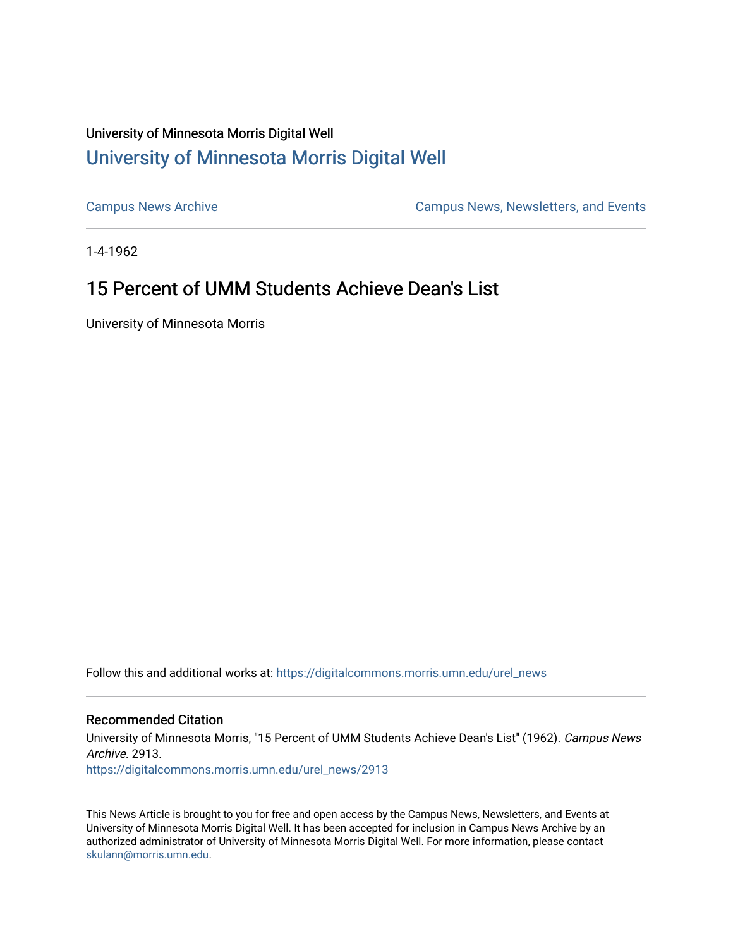## University of Minnesota Morris Digital Well [University of Minnesota Morris Digital Well](https://digitalcommons.morris.umn.edu/)

[Campus News Archive](https://digitalcommons.morris.umn.edu/urel_news) [Campus News, Newsletters, and Events](https://digitalcommons.morris.umn.edu/externalrel) 

1-4-1962

## 15 Percent of UMM Students Achieve Dean's List

University of Minnesota Morris

Follow this and additional works at: [https://digitalcommons.morris.umn.edu/urel\\_news](https://digitalcommons.morris.umn.edu/urel_news?utm_source=digitalcommons.morris.umn.edu%2Furel_news%2F2913&utm_medium=PDF&utm_campaign=PDFCoverPages) 

## Recommended Citation

University of Minnesota Morris, "15 Percent of UMM Students Achieve Dean's List" (1962). Campus News Archive. 2913.

[https://digitalcommons.morris.umn.edu/urel\\_news/2913](https://digitalcommons.morris.umn.edu/urel_news/2913?utm_source=digitalcommons.morris.umn.edu%2Furel_news%2F2913&utm_medium=PDF&utm_campaign=PDFCoverPages) 

This News Article is brought to you for free and open access by the Campus News, Newsletters, and Events at University of Minnesota Morris Digital Well. It has been accepted for inclusion in Campus News Archive by an authorized administrator of University of Minnesota Morris Digital Well. For more information, please contact [skulann@morris.umn.edu.](mailto:skulann@morris.umn.edu)